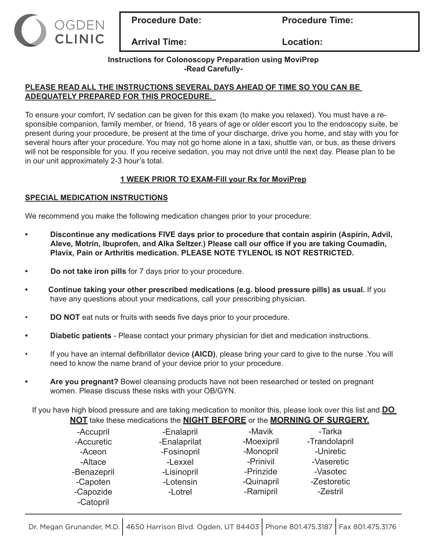

**Procedure Date:** Procedure Time:

**Arrival Time: Location:**

## **Instructions for Colonoscopy Preparation using MoviPrep -Read Carefully-**

## **PLEASE READ ALL THE INSTRUCTIONS SEVERAL DAYS AHEAD OF TIME SO YOU CAN BE ADEQUATELY PREPARED FOR THIS PROCEDURE.**

To ensure your comfort, IV sedation can be given for this exam (to make you relaxed). You must have a responsible companion, family member, or friend, 18 years of age or older escort you to the endoscopy suite, be present during your procedure, be present at the time of your discharge, drive you home, and stay with you for several hours after your procedure. You may not go home alone in a taxi, shuttle van, or bus, as these drivers will not be responsible for you. If you receive sedation, you may not drive until the next day. Please plan to be in our unit approximately 2-3 hour's total.

# **1 WEEK PRIOR TO EXAM-Fill your Rx for MoviPrep**

# **SPECIAL MEDICATION INSTRUCTIONS**

We recommend you make the following medication changes prior to your procedure:

- **• Discontinue any medications FIVE days prior to procedure that contain aspirin (Aspirin, Advil, Aleve, Motrin, Ibuprofen, and Alka Seltzer.) Please call our office if you are taking Coumadin, Plavix, Pain or Arthritis medication. PLEASE NOTE TYLENOL IS NOT RESTRICTED.**
- **Do not take iron pills** for 7 days prior to your procedure.
- **Continue taking your other prescribed medications (e.g. blood pressure pills) as usual.** If you have any questions about your medications, call your prescribing physician.
- **DO NOT** eat nuts or fruits with seeds five days prior to your procedure.
- **• Diabetic patients**  Please contact your primary physician for diet and medication instructions.
- If you have an internal defibrillator device **(AICD)**, please bring your card to give to the nurse .You will need to know the name brand of your device prior to your procedure.
- **• Are you pregnant?** Bowel cleansing products have not been researched or tested on pregnant women. Please discuss these risks with your OB/GYN.

If you have high blood pressure and are taking medication to monitor this, please look over this list and **DO NOT** take these medications the **NIGHT BEFORE** or the **MORNING OF SURGERY.**

| -Accupril   | -Enalapril   | -Mavik     | -Tarka        |
|-------------|--------------|------------|---------------|
| -Accuretic  | -Enalaprilat | -Moexipril | -Trandolapril |
| -Aceon      | -Fosinopril  | -Monopril  | -Uniretic     |
| -Altace     | -Lexxel      | -Prinivil  | -Vaseretic    |
| -Benazepril | -Lisinopril  | -Prinzide  | -Vasotec      |
| -Capoten    | -Lotensin    | -Quinapril | -Zestoretic   |
| -Capozide   | -Lotrel      | -Ramipril  | -Zestril      |
| -Catopril   |              |            |               |